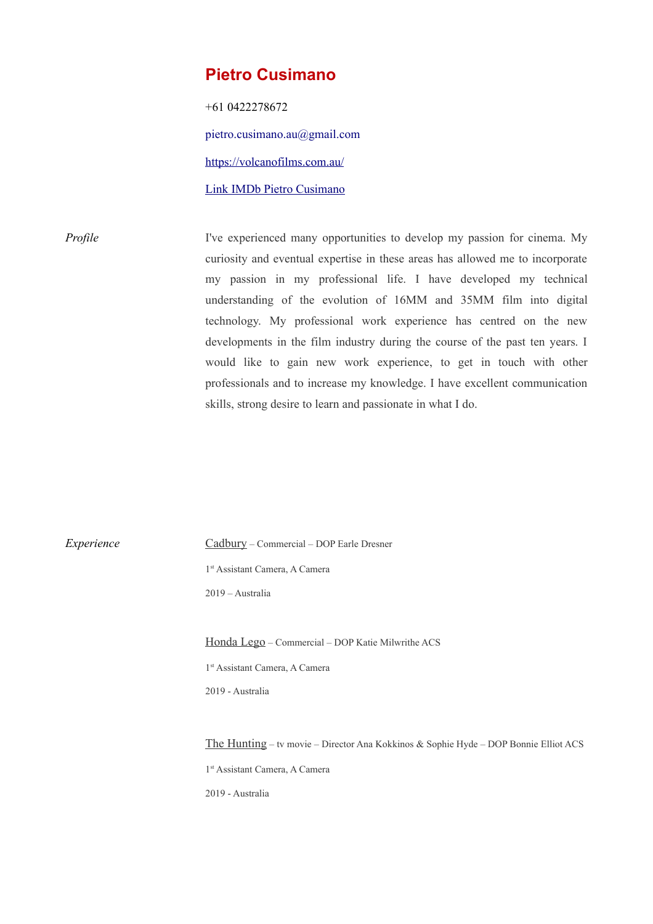## **Pietro Cusimano**

+61 0422278672 pietro.cusimano.au@gmail.com <https://volcanofilms.com.au/> [Link IMDb Pietro Cusimano](http://www.imdb.com/name/nm2495048/?ref_=fn_al_nm_1)

*Profile* I've experienced many opportunities to develop my passion for cinema. My curiosity and eventual expertise in these areas has allowed me to incorporate my passion in my professional life. I have developed my technical understanding of the evolution of 16MM and 35MM film into digital technology. My professional work experience has centred on the new developments in the film industry during the course of the past ten years. I would like to gain new work experience, to get in touch with other professionals and to increase my knowledge. I have excellent communication skills, strong desire to learn and passionate in what I do.

*Experience* Cadbury – Commercial – DOP Earle Dresner 1 st Assistant Camera, A Camera 2019 – Australia Honda Lego – Commercial – DOP Katie Milwrithe ACS 1 st Assistant Camera, A Camera 2019 - Australia The Hunting – tv movie – Director Ana Kokkinos & Sophie Hyde – DOP Bonnie Elliot ACS 1 st Assistant Camera, A Camera 2019 - Australia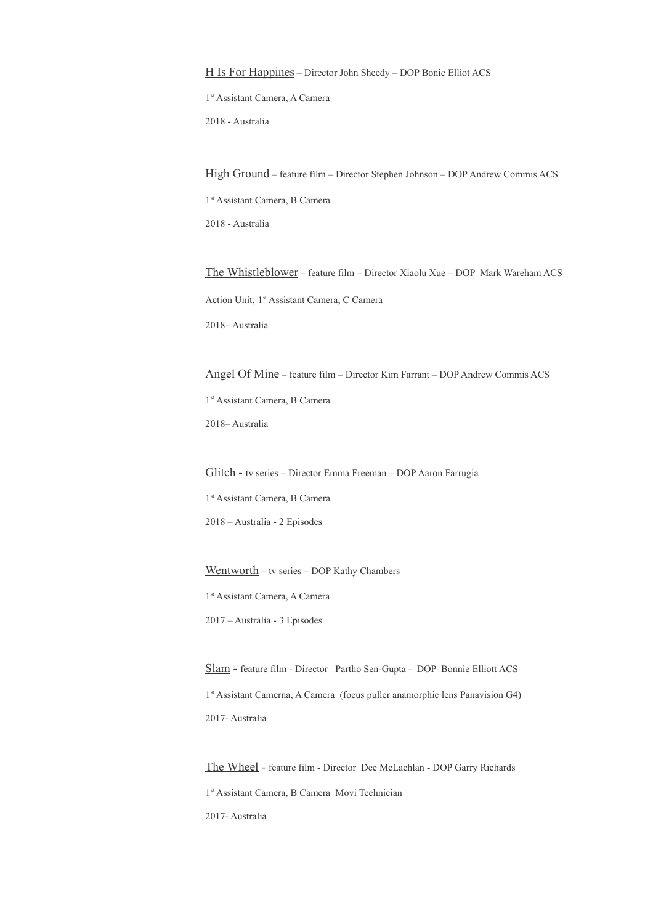H Is For Happines – Director John Sheedy – DOP Bonie Elliot ACS

1 st Assistant Camera, A Camera

2018 - Australia

High Ground – feature film – Director Stephen Johnson – DOP Andrew Commis ACS 1 st Assistant Camera, B Camera 2018 - Australia

The Whistleblower – feature film – Director Xiaolu Xue – DOP Mark Wareham ACS Action Unit, 1 st Assistant Camera, C Camera 2018– Australia

Angel Of Mine – feature film – Director Kim Farrant – DOP Andrew Commis ACS 1 st Assistant Camera, B Camera 2018– Australia

Glitch - tv series – Director Emma Freeman – DOP Aaron Farrugia 1 st Assistant Camera, B Camera 2018 – Australia - 2 Episodes

Wentworth – tv series – DOP Kathy Chambers

1 st Assistant Camera, A Camera

2017 – Australia - 3 Episodes

Slam - feature film - Director Partho Sen-Gupta - DOP Bonnie Elliott ACS 1<sup>st</sup> Assistant Camerna, A Camera (focus puller anamorphic lens Panavision G4) 2017- Australia

The Wheel - feature film - Director Dee McLachlan - DOP Garry Richards 1 st Assistant Camera, B Camera Movi Technician 2017- Australia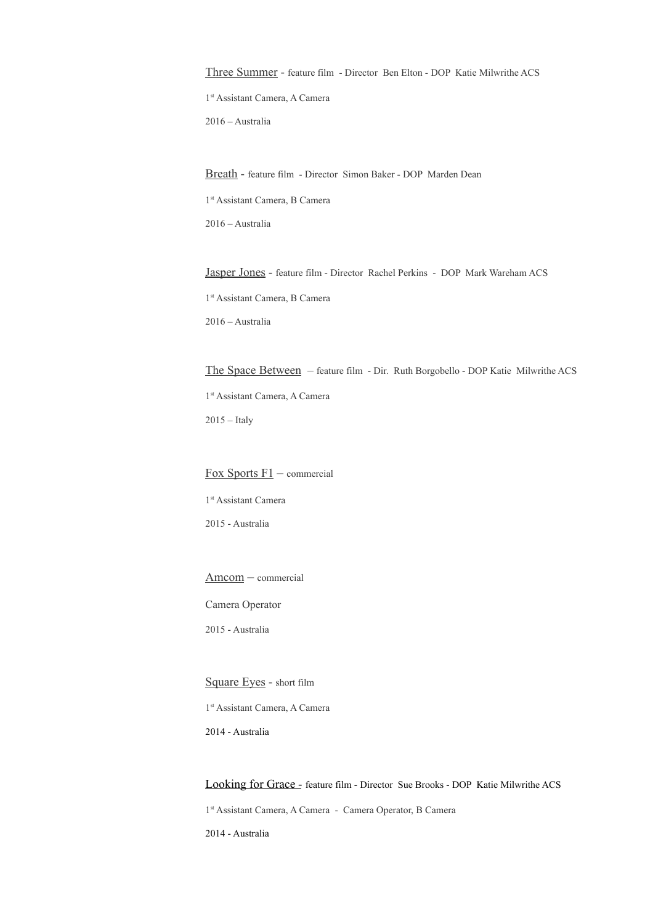Three Summer - feature film - Director Ben Elton - DOP Katie Milwrithe ACS

1 st Assistant Camera, A Camera

2016 – Australia

Breath - feature film - Director Simon Baker - DOP Marden Dean

1 st Assistant Camera, B Camera

2016 – Australia

Jasper Jones - feature film - Director Rachel Perkins - DOP Mark Wareham ACS 1 st Assistant Camera, B Camera 2016 – Australia

The Space Between – feature film - Dir. Ruth Borgobello - DOP Katie Milwrithe ACS 1 st Assistant Camera, A Camera  $2015$  – Italy

 $\frac{F_{OX}}{F_{OX}}$  Sports  $F1$  – commercial 1 st Assistant Camera

2015 - Australia

Amcom – commercial

Camera Operator

2015 - Australia

Square Eyes - short film

1 st Assistant Camera, A Camera

2014 - Australia

## Looking for Grace - feature film - Director Sue Brooks - DOP Katie Milwrithe ACS

1 st Assistant Camera, A Camera - Camera Operator, B Camera

2014 - Australia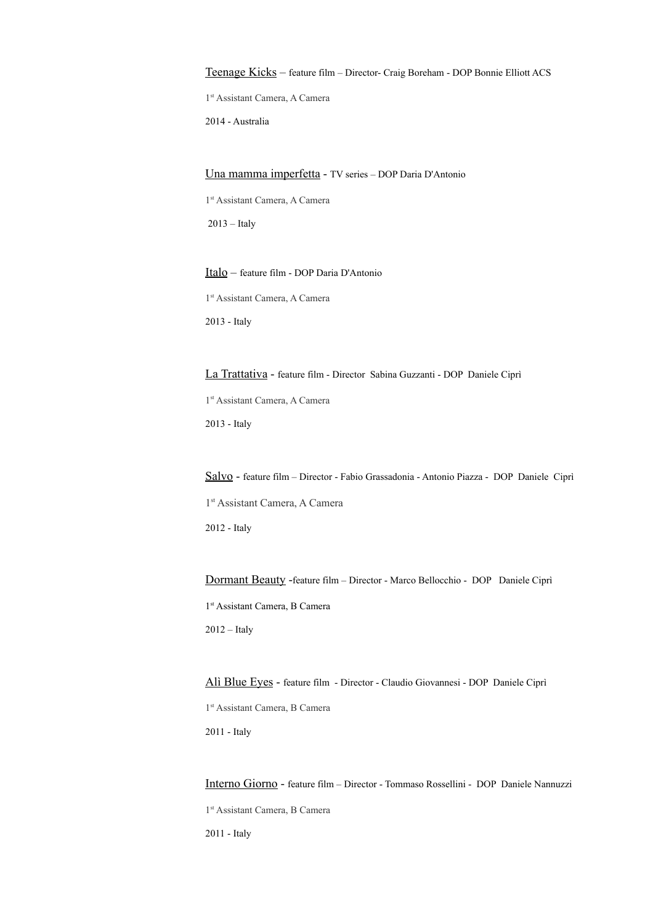Teenage Kicks – feature film – Director- Craig Boreham - DOP Bonnie Elliott ACS

1 st Assistant Camera, A Camera

2014 - Australia

Una mamma imperfetta - TV series – DOP Daria D'Antonio

1 st Assistant Camera, A Camera

2013 – Italy

Italo – feature film - DOP Daria D'Antonio 1 st Assistant Camera, A Camera 2013 - Italy

La Trattativa - feature film - Director Sabina Guzzanti - DOP Daniele Ciprì 1 st Assistant Camera, A Camera 2013 - Italy

Salvo - feature film – Director - Fabio Grassadonia - Antonio Piazza - DOP Daniele Ciprì 1 st Assistant Camera, A Camera 2012 - Italy

Dormant Beauty -feature film – Director - Marco Bellocchio - DOP Daniele Ciprì 1 st Assistant Camera, B Camera 2012 – Italy

Alì Blue Eyes - feature film - Director - Claudio Giovannesi - DOP Daniele Ciprì 1 st Assistant Camera, B Camera 2011 - Italy

Interno Giorno - feature film – Director - Tommaso Rossellini - DOP Daniele Nannuzzi 1 st Assistant Camera, B Camera 2011 - Italy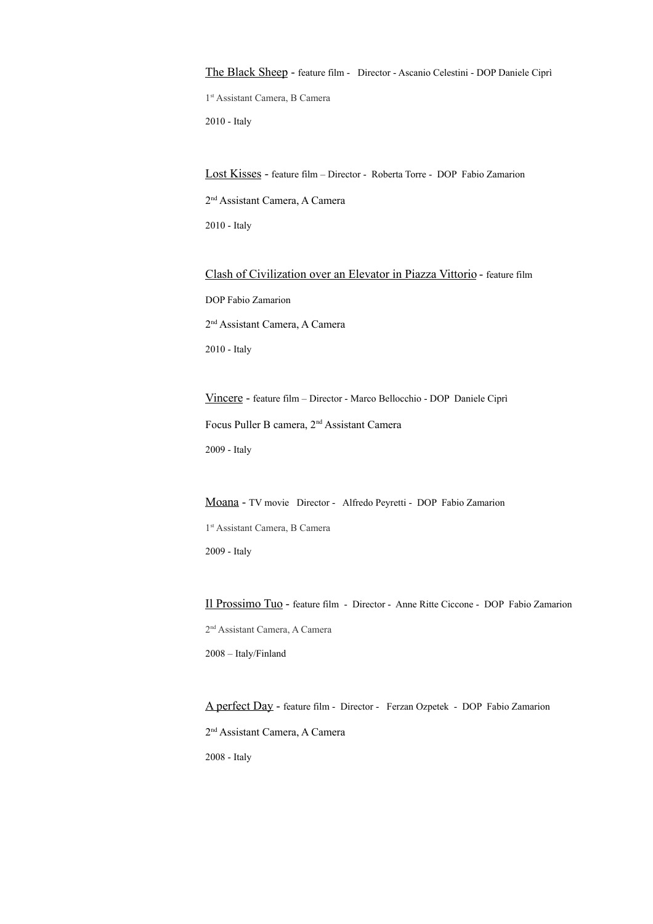The Black Sheep - feature film - Director - Ascanio Celestini - DOP Daniele Ciprì 1 st Assistant Camera, B Camera 2010 - Italy

Lost Kisses - feature film – Director - Roberta Torre - DOP Fabio Zamarion 2<sup>nd</sup> Assistant Camera, A Camera 2010 - Italy

Clash of Civilization over an Elevator in Piazza Vittorio - feature film DOP Fabio Zamarion 2<sup>nd</sup> Assistant Camera, A Camera 2010 - Italy

Vincere - feature film – Director - Marco Bellocchio - DOP Daniele Ciprì Focus Puller B camera, 2nd Assistant Camera 2009 - Italy

Moana - TV movie Director - Alfredo Peyretti - DOP Fabio Zamarion

1 st Assistant Camera, B Camera 2009 - Italy

Il Prossimo Tuo - feature film - Director - Anne Ritte Ciccone - DOP Fabio Zamarion 2<sup>nd</sup> Assistant Camera, A Camera 2008 – Italy/Finland

A perfect Day - feature film - Director - Ferzan Ozpetek - DOP Fabio Zamarion 2 nd Assistant Camera, A Camera 2008 - Italy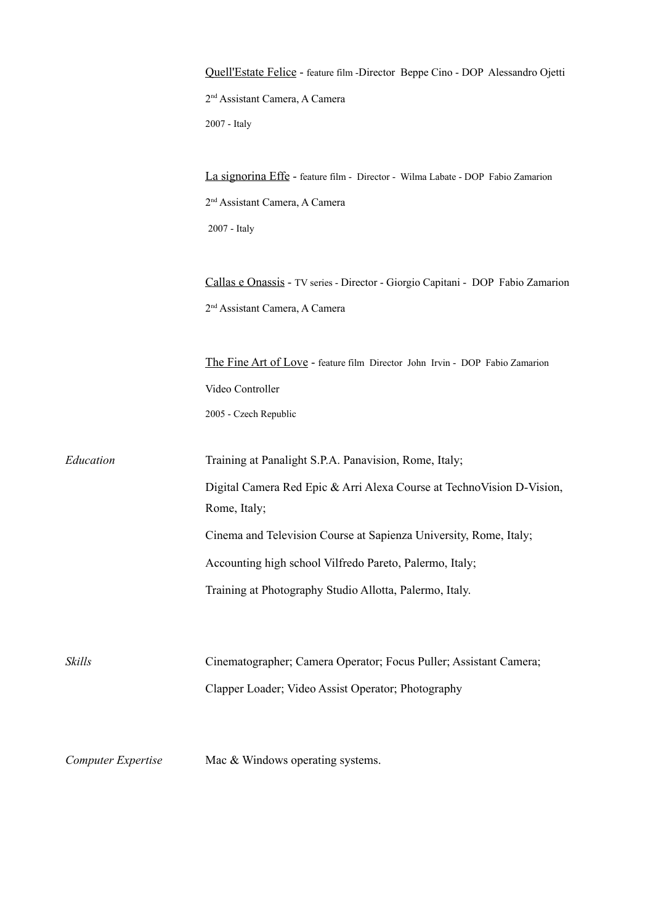|                    | Quell'Estate Felice - feature film -Director Beppe Cino - DOP Alessandro Ojetti        |
|--------------------|----------------------------------------------------------------------------------------|
|                    | 2 <sup>nd</sup> Assistant Camera, A Camera                                             |
|                    | 2007 - Italy                                                                           |
|                    | La signorina Effe - feature film - Director - Wilma Labate - DOP Fabio Zamarion        |
|                    | 2 <sup>nd</sup> Assistant Camera, A Camera                                             |
|                    | 2007 - Italy                                                                           |
|                    | Callas e Onassis - TV series - Director - Giorgio Capitani - DOP Fabio Zamarion        |
|                    | 2 <sup>nd</sup> Assistant Camera, A Camera                                             |
|                    | The Fine Art of Love - feature film Director John Irvin - DOP Fabio Zamarion           |
|                    | Video Controller                                                                       |
|                    | 2005 - Czech Republic                                                                  |
| Education          | Training at Panalight S.P.A. Panavision, Rome, Italy;                                  |
|                    | Digital Camera Red Epic & Arri Alexa Course at Techno Vision D-Vision,<br>Rome, Italy; |
|                    | Cinema and Television Course at Sapienza University, Rome, Italy;                      |
|                    | Accounting high school Vilfredo Pareto, Palermo, Italy;                                |
|                    | Training at Photography Studio Allotta, Palermo, Italy.                                |
|                    |                                                                                        |
| Skills             | Cinematographer; Camera Operator; Focus Puller; Assistant Camera;                      |
|                    | Clapper Loader; Video Assist Operator; Photography                                     |
| Computer Expertise | Mac & Windows operating systems.                                                       |